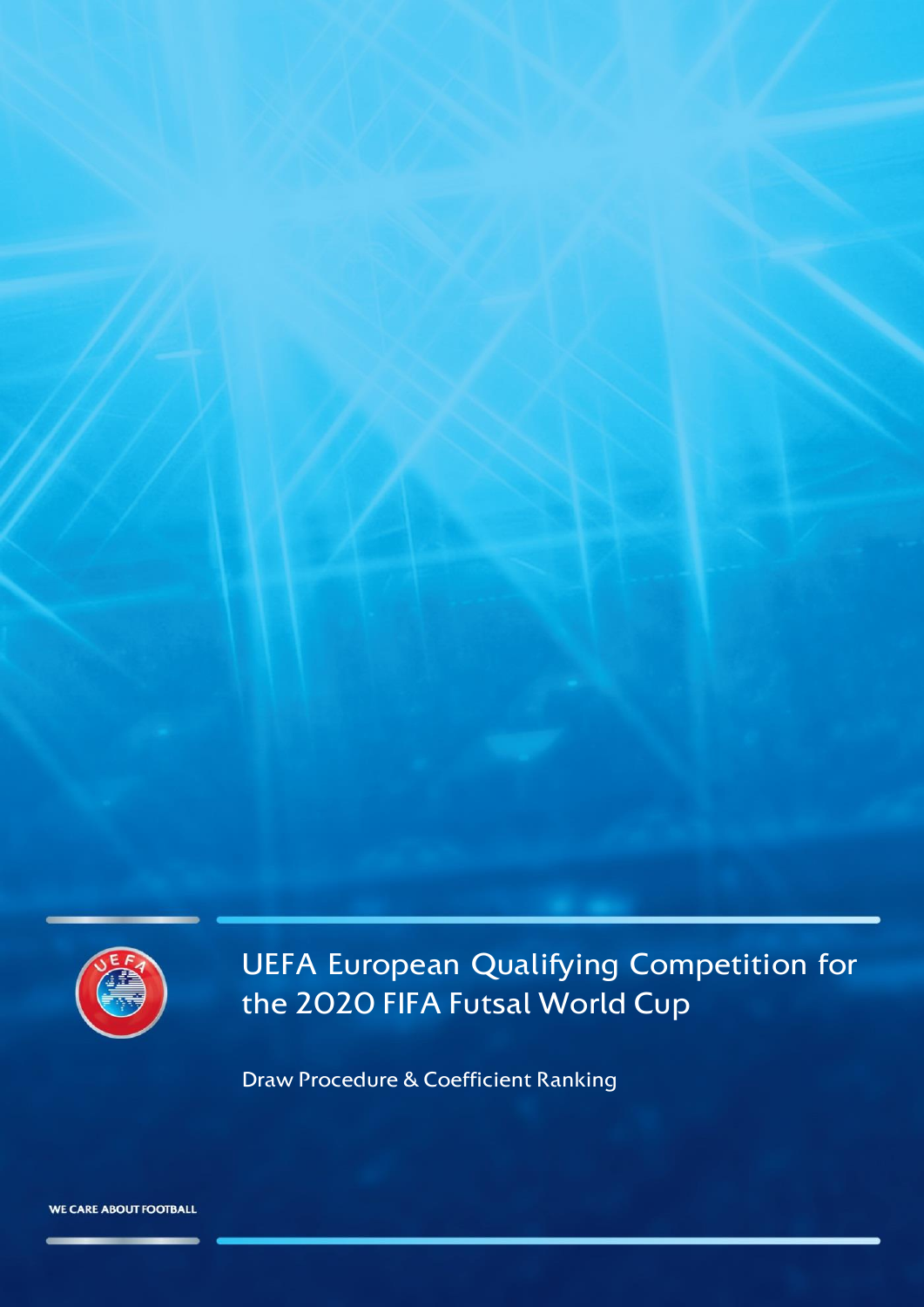

UEFA European Qualifying Competition for the 2020 FIFA Futsal World Cup

Draw Procedure & Coefficient Ranking

**WE CARE ABOUT FOOTBALL**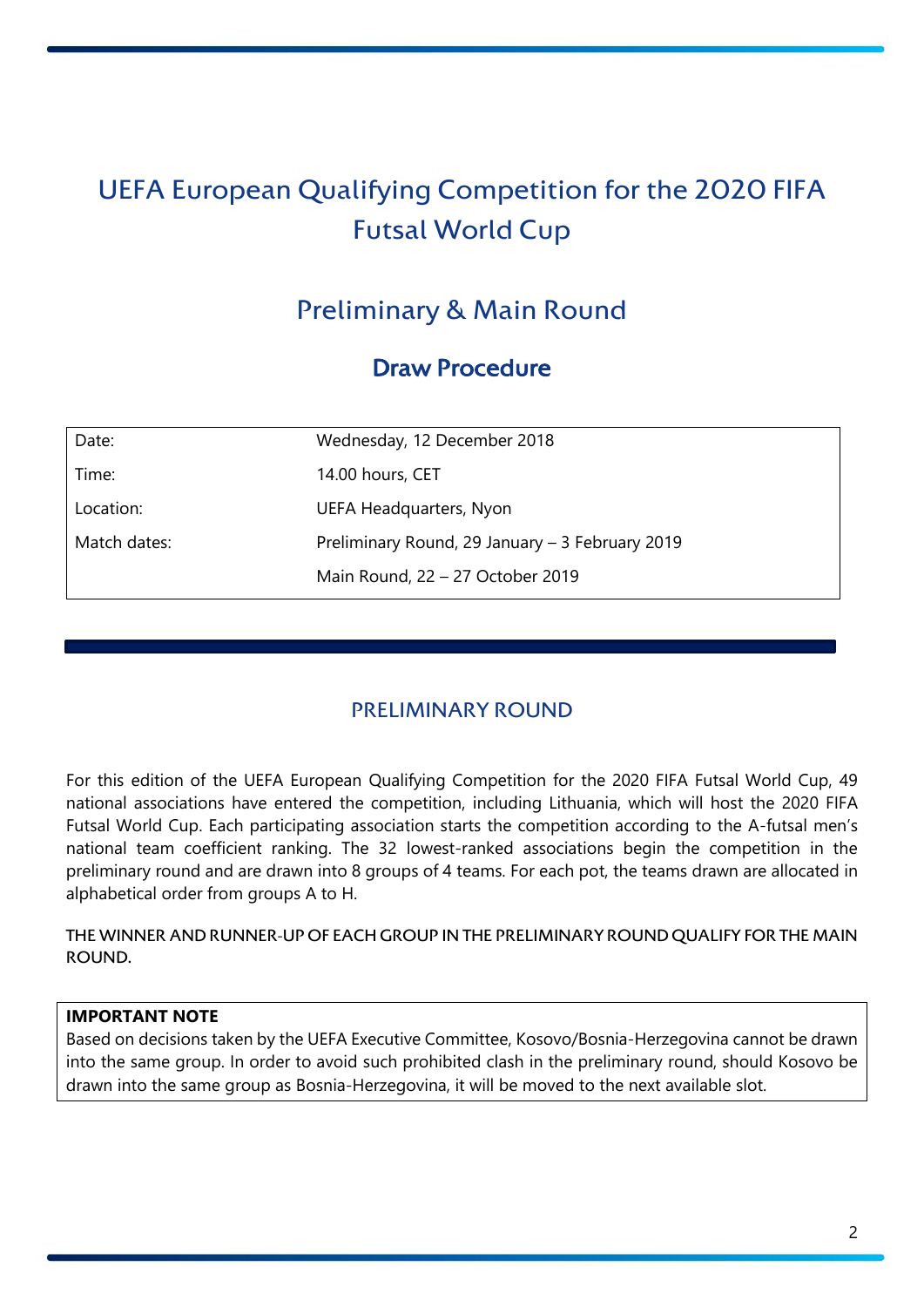# UEFA European Qualifying Competition for the 2020 FIFA Futsal World Cup

## Preliminary & Main Round

## Draw Procedure

| Date:        | Wednesday, 12 December 2018                     |  |
|--------------|-------------------------------------------------|--|
| Time:        | 14.00 hours, CET                                |  |
| Location:    | UEFA Headquarters, Nyon                         |  |
| Match dates: | Preliminary Round, 29 January – 3 February 2019 |  |
|              | Main Round, 22 - 27 October 2019                |  |

## PRELIMINARY ROUND

For this edition of the UEFA European Qualifying Competition for the 2020 FIFA Futsal World Cup, 49 national associations have entered the competition, including Lithuania, which will host the 2020 FIFA Futsal World Cup. Each participating association starts the competition according to the A-futsal men's national team coefficient ranking. The 32 lowest-ranked associations begin the competition in the preliminary round and are drawn into 8 groups of 4 teams. For each pot, the teams drawn are allocated in alphabetical order from groups A to H.

THE WINNER AND RUNNER-UP OF EACH GROUP IN THE PRELIMINARY ROUND QUALIFY FOR THE MAIN ROUND.

#### **IMPORTANT NOTE**

Based on decisions taken by the UEFA Executive Committee, Kosovo/Bosnia-Herzegovina cannot be drawn into the same group. In order to avoid such prohibited clash in the preliminary round, should Kosovo be drawn into the same group as Bosnia-Herzegovina, it will be moved to the next available slot.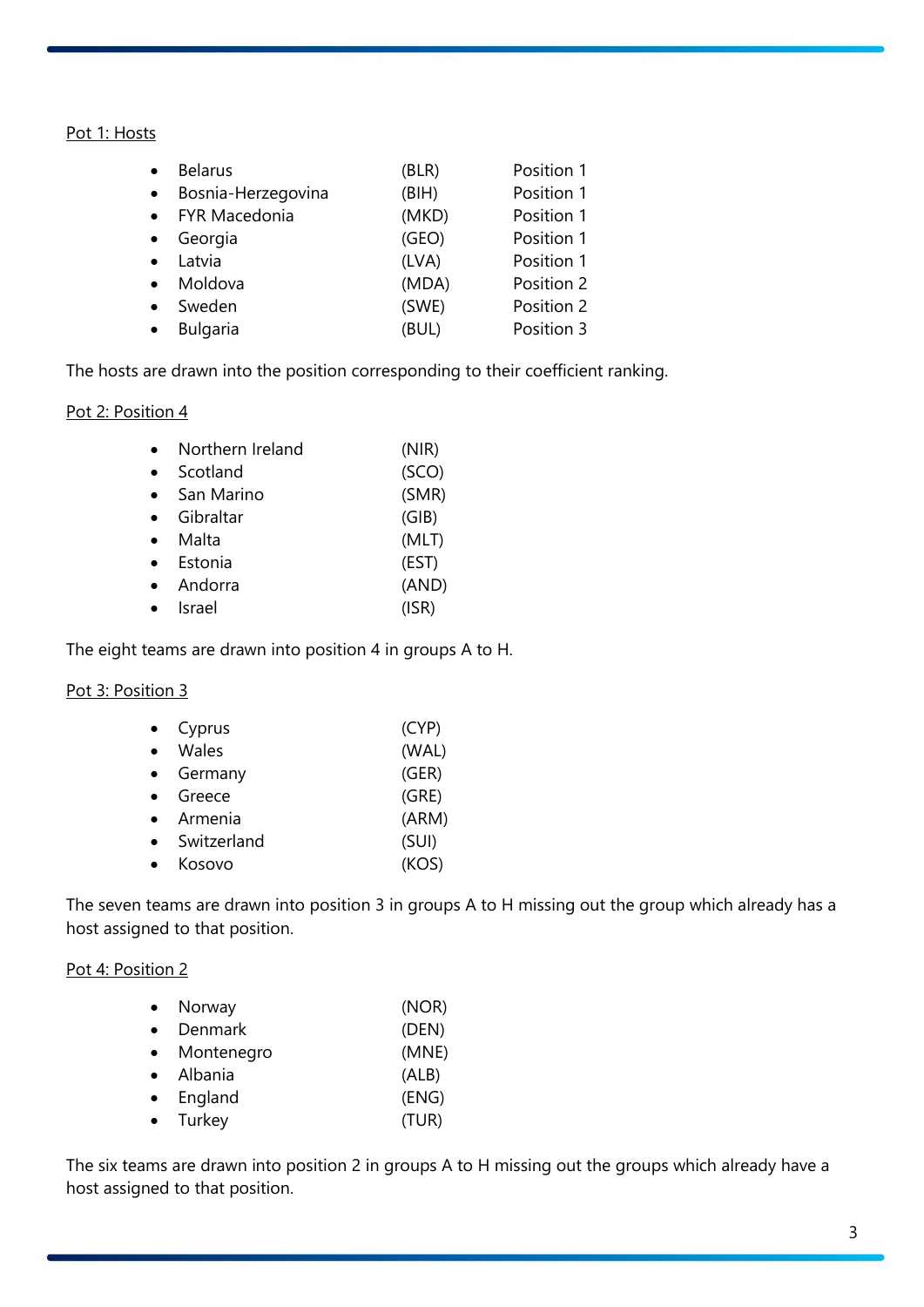#### Pot 1: Hosts

| <b>Belarus</b>     | (BLR) | Position 1 |
|--------------------|-------|------------|
| Bosnia-Herzegovina | (BIH) | Position 1 |
| • FYR Macedonia    | (MKD) | Position 1 |
| Georgia            | (GEO) | Position 1 |
| Latvia             | (LVA) | Position 1 |
| Moldova            | (MDA) | Position 2 |
| Sweden             | (SWE) | Position 2 |
| <b>Bulgaria</b>    | (BUL) | Position 3 |

The hosts are drawn into the position corresponding to their coefficient ranking.

#### Pot 2: Position 4

|           | Northern Ireland | (NIR) |
|-----------|------------------|-------|
|           | Scotland         | (SCO) |
| $\bullet$ | San Marino       | (SMR) |
|           | Gibraltar        | (GIB) |
|           | Malta            | (MLT) |
|           | Estonia          | (EST) |
|           | Andorra          | (AND) |
|           | Israel           | (ISR) |

The eight teams are drawn into position 4 in groups A to H.

#### Pot 3: Position 3

| Cyprus      | (CYP) |
|-------------|-------|
| Wales       | (WAL) |
| Germany     | (GER) |
| Greece      | (GRE) |
| Armenia     | (ARM) |
| Switzerland | (SUI) |
| Kosovo      | (KOS) |

The seven teams are drawn into position 3 in groups A to H missing out the group which already has a host assigned to that position.

#### Pot 4: Position 2

| Norway     | (NOR) |
|------------|-------|
| Denmark    | (DEN) |
| Montenegro | (MNE) |
| Albania    | (ALB) |
| England    | (ENG) |
| Turkey     | (TUR) |

The six teams are drawn into position 2 in groups A to H missing out the groups which already have a host assigned to that position.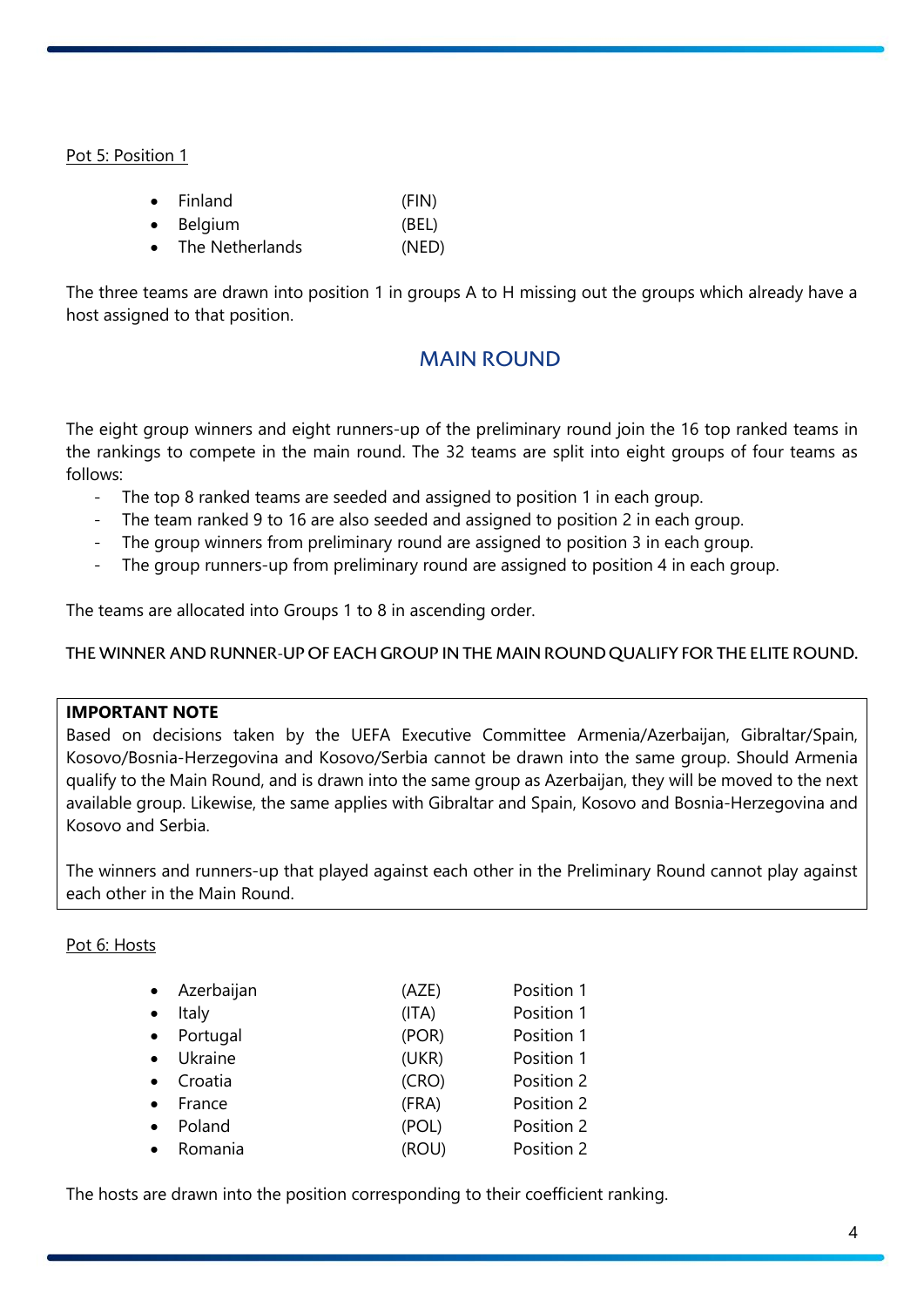Pot 5: Position 1

|           | $\bullet$ Finland | (FIN) |
|-----------|-------------------|-------|
| $\bullet$ | Belgium           | (BEL) |
| $\bullet$ | The Netherlands   | (NED) |

The three teams are drawn into position 1 in groups A to H missing out the groups which already have a host assigned to that position.

## MAIN ROUND

The eight group winners and eight runners-up of the preliminary round join the 16 top ranked teams in the rankings to compete in the main round. The 32 teams are split into eight groups of four teams as follows:

- The top 8 ranked teams are seeded and assigned to position 1 in each group.
- The team ranked 9 to 16 are also seeded and assigned to position 2 in each group.
- The group winners from preliminary round are assigned to position 3 in each group.
- The group runners-up from preliminary round are assigned to position 4 in each group.

The teams are allocated into Groups 1 to 8 in ascending order.

THE WINNER AND RUNNER-UP OF EACH GROUP IN THE MAIN ROUND QUALIFY FOR THE ELITE ROUND.

#### **IMPORTANT NOTE**

Based on decisions taken by the UEFA Executive Committee Armenia/Azerbaijan, Gibraltar/Spain, Kosovo/Bosnia-Herzegovina and Kosovo/Serbia cannot be drawn into the same group. Should Armenia qualify to the Main Round, and is drawn into the same group as Azerbaijan, they will be moved to the next available group. Likewise, the same applies with Gibraltar and Spain, Kosovo and Bosnia-Herzegovina and Kosovo and Serbia.

The winners and runners-up that played against each other in the Preliminary Round cannot play against each other in the Main Round.

#### Pot 6: Hosts

| Azerbaijan | (AZE) | Position 1 |
|------------|-------|------------|
| Italy      | (ITA) | Position 1 |
| Portugal   | (POR) | Position 1 |
| Ukraine    | (UKR) | Position 1 |
| Croatia    | (CRO) | Position 2 |
| France     | (FRA) | Position 2 |
| Poland     | (POL) | Position 2 |
| Romania    | (ROU) | Position 2 |

The hosts are drawn into the position corresponding to their coefficient ranking.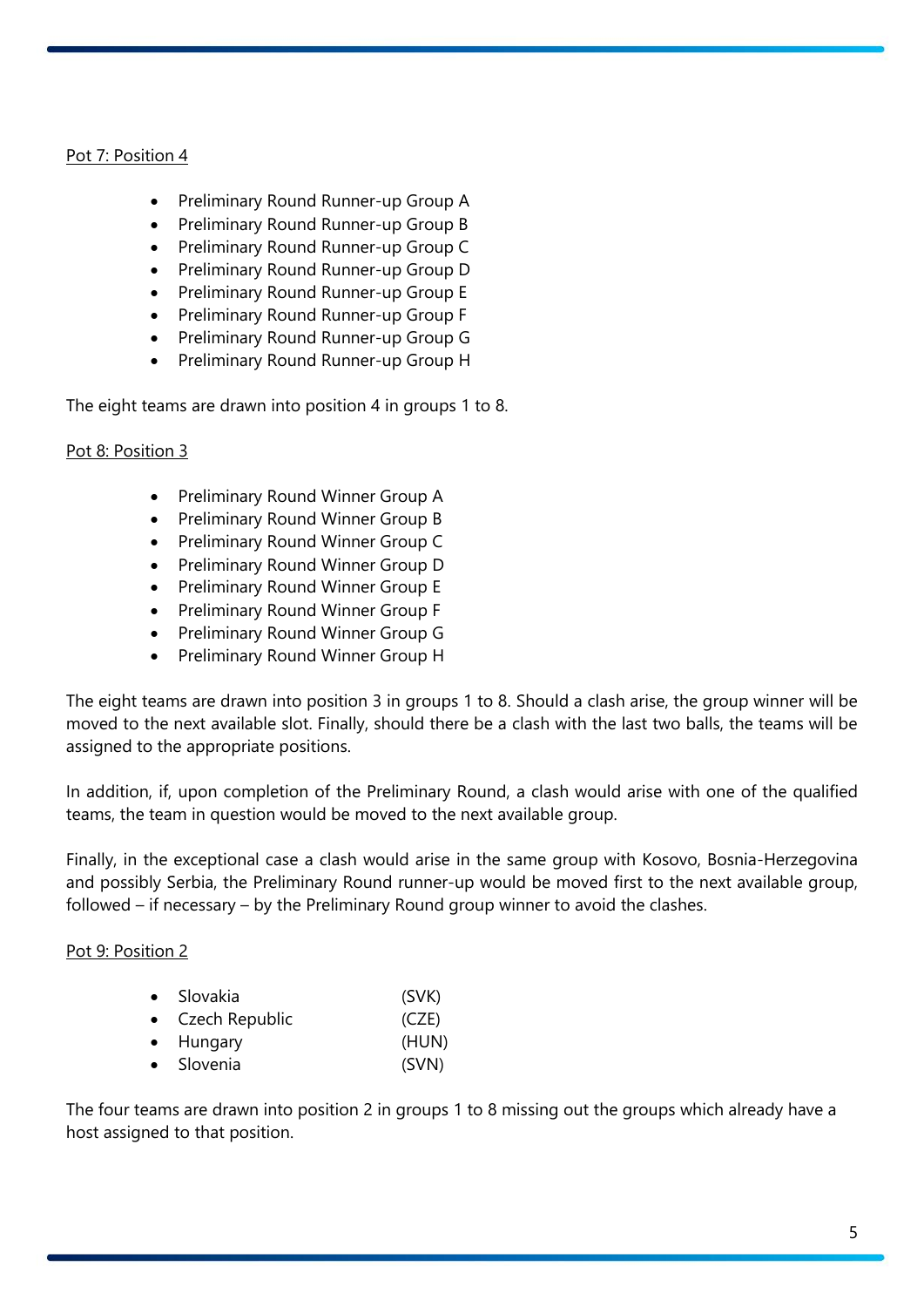#### Pot 7: Position 4

- Preliminary Round Runner-up Group A
- Preliminary Round Runner-up Group B
- Preliminary Round Runner-up Group C
- Preliminary Round Runner-up Group D
- Preliminary Round Runner-up Group E
- Preliminary Round Runner-up Group F
- Preliminary Round Runner-up Group G
- Preliminary Round Runner-up Group H

The eight teams are drawn into position 4 in groups 1 to 8.

#### Pot 8: Position 3

- Preliminary Round Winner Group A
- Preliminary Round Winner Group B
- Preliminary Round Winner Group C
- Preliminary Round Winner Group D
- Preliminary Round Winner Group E
- Preliminary Round Winner Group F
- Preliminary Round Winner Group G
- Preliminary Round Winner Group H

The eight teams are drawn into position 3 in groups 1 to 8. Should a clash arise, the group winner will be moved to the next available slot. Finally, should there be a clash with the last two balls, the teams will be assigned to the appropriate positions.

In addition, if, upon completion of the Preliminary Round, a clash would arise with one of the qualified teams, the team in question would be moved to the next available group.

Finally, in the exceptional case a clash would arise in the same group with Kosovo, Bosnia-Herzegovina and possibly Serbia, the Preliminary Round runner-up would be moved first to the next available group, followed – if necessary – by the Preliminary Round group winner to avoid the clashes.

#### Pot 9: Position 2

| • Slovakia       | (SVK) |
|------------------|-------|
| • Czech Republic | (CZE) |
| • Hungary        | (HUN) |
| • Slovenia       | (SVN) |

The four teams are drawn into position 2 in groups 1 to 8 missing out the groups which already have a host assigned to that position.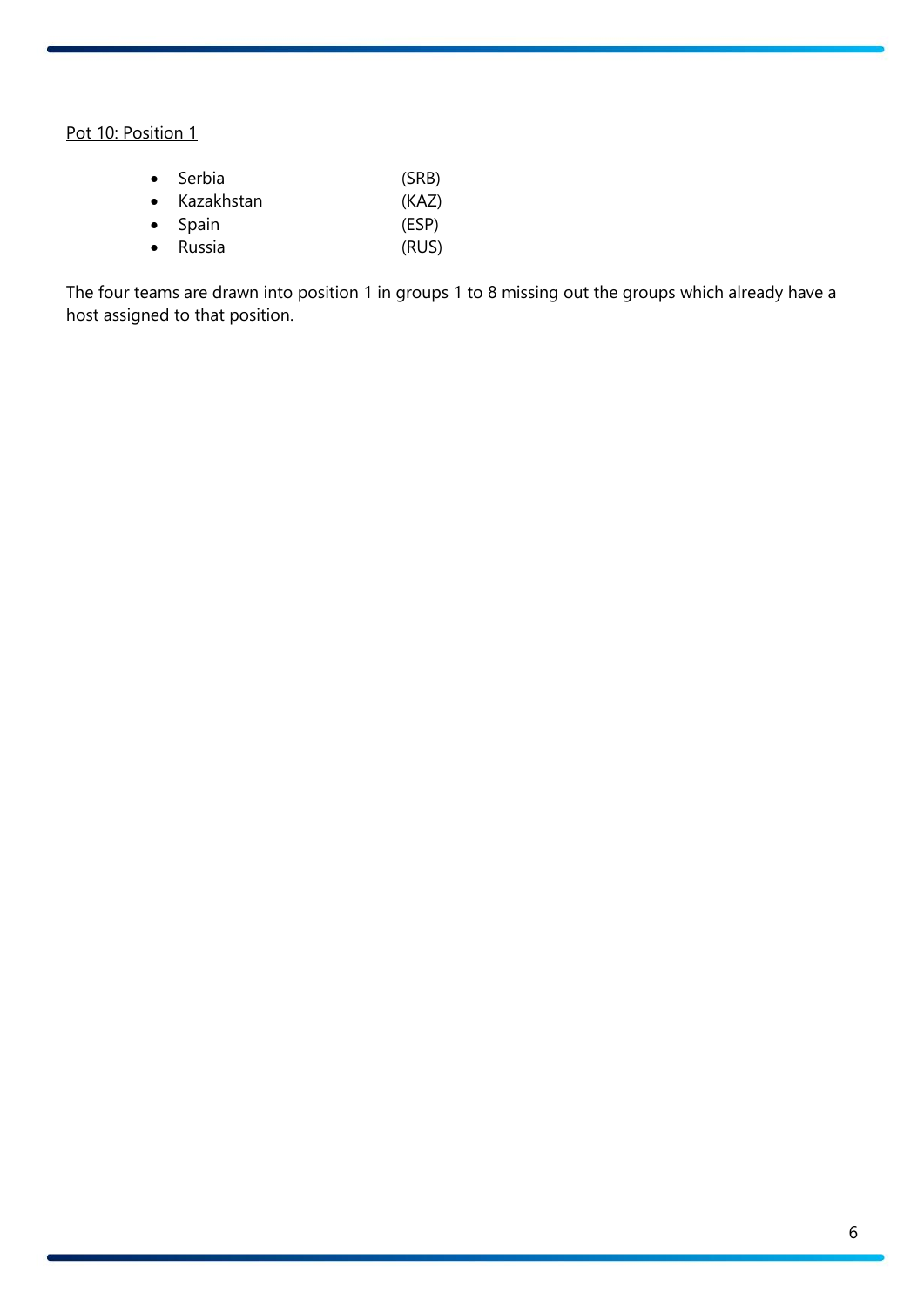### Pot 10: Position 1

|           | $\bullet$ Serbia | (SRB) |
|-----------|------------------|-------|
| $\bullet$ | Kazakhstan       | (KAZ) |
|           | $\bullet$ Spain  | (ESP) |
| $\bullet$ | Russia           | (RUS) |

The four teams are drawn into position 1 in groups 1 to 8 missing out the groups which already have a host assigned to that position.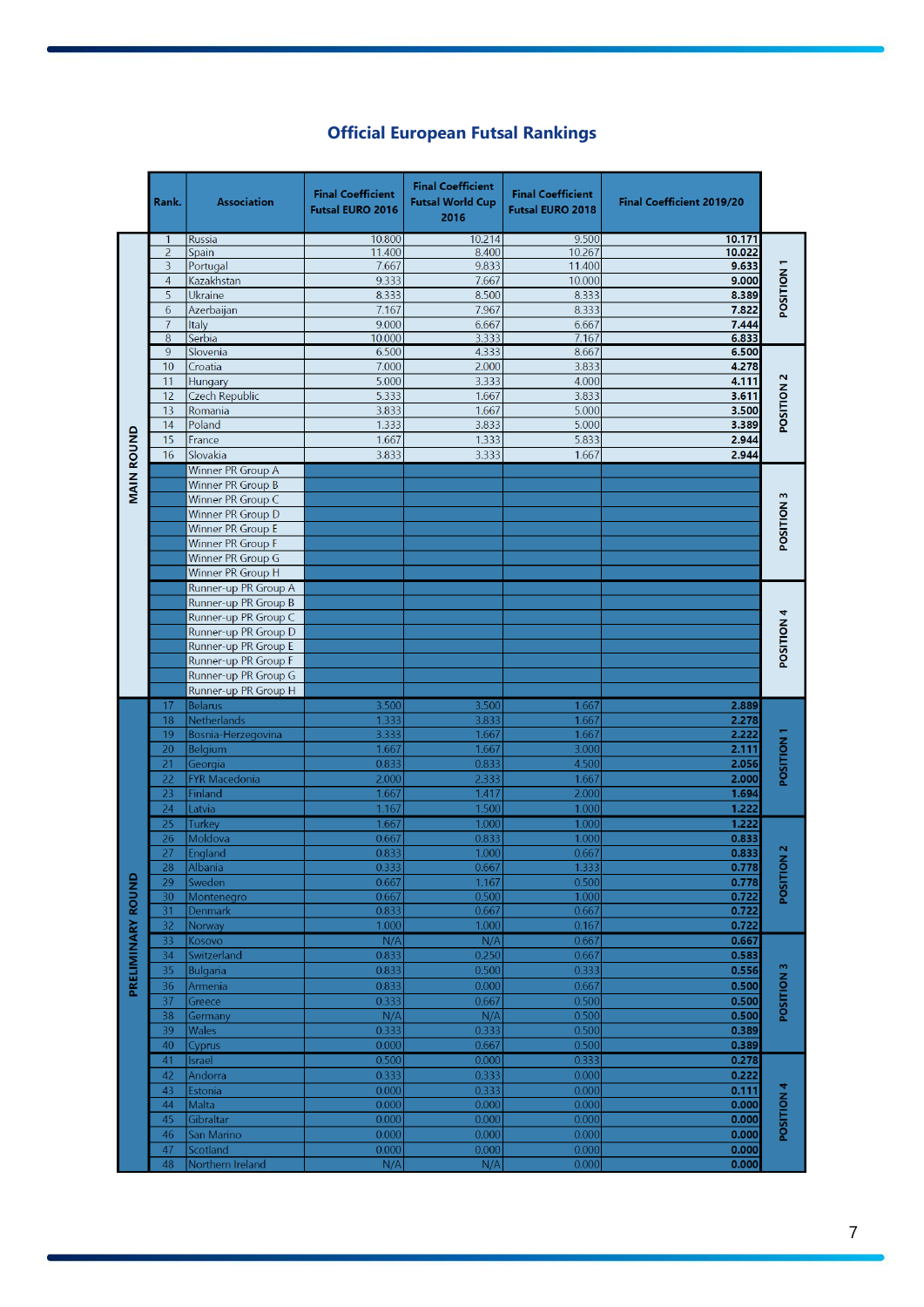|  | <b>Official European Futsal Rankings</b> |  |  |
|--|------------------------------------------|--|--|
|--|------------------------------------------|--|--|

|                   | Rank.          | <b>Association</b>       | <b>Final Coefficient</b><br><b>Futsal EURO 2016</b> | <b>Final Coefficient</b><br><b>Futsal World Cup</b><br>2016 | <b>Final Coefficient</b><br><b>Futsal EURO 2018</b> | <b>Final Coefficient 2019/20</b> |                   |
|-------------------|----------------|--------------------------|-----------------------------------------------------|-------------------------------------------------------------|-----------------------------------------------------|----------------------------------|-------------------|
|                   | 1.             | <b>Russia</b>            | 10.800                                              | 10.214                                                      | 9.500                                               | 10.171                           |                   |
|                   | 2              | Spain                    | 11.400                                              | 8.400                                                       | 10.267                                              | 10.022                           |                   |
|                   | 3              | Portugal                 | 7.667                                               | 9.833                                                       | 11.400                                              | 9.633                            |                   |
|                   | $\overline{4}$ | Kazakhstan               | 9.333                                               | 7.667                                                       | 10.000                                              | 9.000                            |                   |
|                   | 5              | Ukraine                  | 8.333                                               | 8.500                                                       | 8.333                                               | 8.389                            | POSITION          |
|                   | 6              | Azerbaijan               | 7.167                                               | 7.967                                                       | 8.333                                               | 7.822                            |                   |
|                   | $\overline{7}$ | Italy                    | 9.000                                               | 6.667                                                       | 6.667                                               | 7.444                            |                   |
|                   | 8              | Serbia                   | 10.000                                              | 3.333                                                       | 7.167                                               | 6.833                            |                   |
|                   | 9              | Slovenia                 | 6.500                                               | 4.333                                                       | 8.667                                               | 6.500                            |                   |
|                   | 10             | Croatia                  | 7.000                                               | 2.000                                                       | 3.833                                               | 4.278                            |                   |
|                   | 11             | Hungary                  | 5.000                                               | 3.333                                                       | 4.000                                               | 4.111                            |                   |
|                   | 12             | <b>Czech Republic</b>    | 5.333                                               | 1.667                                                       | 3.833                                               | 3.611                            |                   |
|                   | 13             | Romania                  | 3.833                                               | 1.667                                                       | 5.000                                               | 3.500                            | POSITION 2        |
|                   | 14             | Poland                   | 1.333                                               | 3.833                                                       | 5.000                                               | 3.389                            |                   |
|                   | 15             | France                   | 1.667                                               | 1.333                                                       | 5.833                                               | 2.944                            |                   |
|                   | 16             | Slovakia                 | 3.833                                               | 3.333                                                       | 1.667                                               | 2.944                            |                   |
|                   |                | Winner PR Group A        |                                                     |                                                             |                                                     |                                  |                   |
| <b>MAIN ROUND</b> |                | Winner PR Group B        |                                                     |                                                             |                                                     |                                  |                   |
|                   |                | Winner PR Group C        |                                                     |                                                             |                                                     |                                  | POSITION 3        |
|                   |                | Winner PR Group D        |                                                     |                                                             |                                                     |                                  |                   |
|                   |                | Winner PR Group E        |                                                     |                                                             |                                                     |                                  |                   |
|                   |                | Winner PR Group F        |                                                     |                                                             |                                                     |                                  |                   |
|                   |                | Winner PR Group G        |                                                     |                                                             |                                                     |                                  |                   |
|                   |                | Winner PR Group H        |                                                     |                                                             |                                                     |                                  |                   |
|                   |                | Runner-up PR Group A     |                                                     |                                                             |                                                     |                                  |                   |
|                   |                | Runner-up PR Group B     |                                                     |                                                             |                                                     |                                  |                   |
|                   |                | Runner-up PR Group C     |                                                     |                                                             |                                                     |                                  | <b>POSITION 4</b> |
|                   |                | Runner-up PR Group D     |                                                     |                                                             |                                                     |                                  |                   |
|                   |                | Runner-up PR Group E     |                                                     |                                                             |                                                     |                                  |                   |
|                   |                | Runner-up PR Group F     |                                                     |                                                             |                                                     |                                  |                   |
|                   |                | Runner-up PR Group G     |                                                     |                                                             |                                                     |                                  |                   |
|                   |                | Runner-up PR Group H     |                                                     |                                                             |                                                     |                                  |                   |
|                   | 17             | <b>Belarus</b>           | 3.500                                               | 3.500                                                       | 1.667                                               | 2.889                            |                   |
|                   | 18             | <b>Netherlands</b>       | 1.333                                               | 3.833                                                       | 1.667                                               | 2.278                            |                   |
|                   | 19             | Bosnia-Herzegovina       | 3.333                                               | 1.667                                                       | 1.667                                               | 2.222                            |                   |
|                   | 20             | Belgium                  | 1.667                                               | 1.667                                                       | 3.000                                               | 2.111                            | POSITION 1        |
|                   | 21             | Georgia                  | 0.833                                               | 0.833                                                       | 4.500                                               | 2.056                            |                   |
|                   | 22<br>23       | <b>FYR Macedonia</b>     | 2.000<br>1.667                                      | 2.333                                                       | 1.667                                               | 2.000                            |                   |
|                   |                | Finland<br>Latvia        |                                                     | 1.417<br>1.500                                              | 2.000                                               | 1.694                            |                   |
|                   | 24             |                          | 1.167                                               |                                                             | 1.000                                               | 1.222                            |                   |
|                   | 25<br>26       | Turkey<br>Moldova        | 1.667<br>0.667                                      | 1.000<br>0.833                                              | 1.000<br>1.000                                      | 1.222<br>0.833                   |                   |
|                   | 27             |                          | 0.833                                               | 1.000                                                       | 0.667                                               | 0.833                            | Ν                 |
|                   |                | England                  |                                                     | 0.667                                                       | 1.333                                               |                                  | ğ                 |
|                   | 28<br>29       | <b>Albania</b><br>Sweden | 0.333<br>0.667                                      | 1.167                                                       | 0.500                                               | 0.778<br>0.778                   | POSITIO           |
|                   | 30             | Montenegro               | 0.667                                               | 0.500                                                       | 1.000                                               | 0.722                            |                   |
|                   | 31             | Denmark                  | 0.833                                               | 0.667                                                       | 0.667                                               | 0.722                            |                   |
|                   | 32             | Norway                   | 1.000                                               | 1.000                                                       | 0.167                                               | 0.722                            |                   |
|                   | 33             | Kosovo                   | N/A                                                 | N/A                                                         | 0.667                                               | 0.667                            |                   |
|                   | 34             | Switzerland              | 0.833                                               | 0.250                                                       | 0.667                                               | 0.583                            |                   |
| PRELIMINARY ROUND | 35             | Bulgaria                 | 0.833                                               | 0.500                                                       | 0.333                                               | 0.556                            |                   |
|                   | 36             | Armenia                  | 0.833                                               | 0.000                                                       | 0.667                                               | 0.500                            | POSITION 3        |
|                   | 37             | Greece                   | 0.333                                               | 0.667                                                       | 0.500                                               | 0.500                            |                   |
|                   | 38             | Germany                  | N/A                                                 | N/A                                                         | 0.500                                               | 0.500                            |                   |
|                   | 39             | <b>Wales</b>             | 0.333                                               | 0.333                                                       | 0.500                                               | 0.389                            |                   |
|                   | 40             | Cyprus                   | 0.000                                               | 0.667                                                       | 0.500                                               | 0.389                            |                   |
|                   | 41             | Israel                   | 0.500                                               | 0.000                                                       | 0.333                                               | 0.278                            |                   |
|                   | 42             | Andorra                  | 0.333                                               | 0.333                                                       | 0.000                                               | 0.222                            |                   |
|                   | 43             | Estonia                  | 0.000                                               | 0.333                                                       | 0.000                                               | 0.111                            |                   |
|                   | 44             | Malta                    | 0.000                                               | 0.000                                                       | 0.000                                               | 0.000                            | POSITION 4        |
|                   | 45             | Gibraltar                | 0.000                                               | 0.000                                                       | 0.000                                               | 0.000                            |                   |
|                   | 46             | San Marino               | 0.000                                               | 0.000                                                       | 0.000                                               | 0.000                            |                   |
|                   | 47             | Scotland                 | 0.000                                               | 0.000                                                       | 0.000                                               | 0.000                            |                   |
|                   | 48             | Northern Ireland         | N/A                                                 | N/A                                                         | 0.000                                               | 0.000                            |                   |